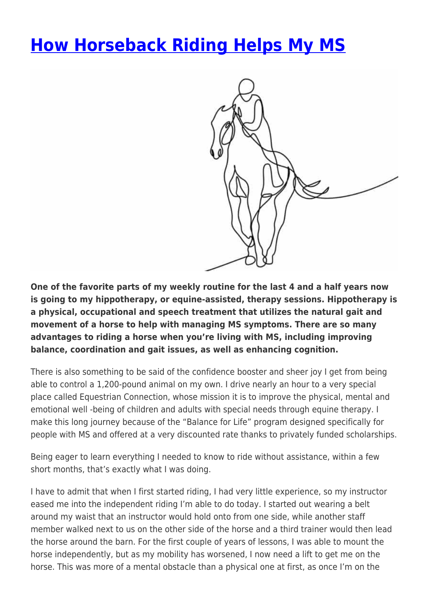## **[How Horseback Riding Helps My MS](https://momentummagazineonline.com/blog/how-horseback-riding-helps-my-ms/)**



**One of the favorite parts of my weekly routine for the last 4 and a half years now is going to my hippotherapy, or equine-assisted, therapy sessions. Hippotherapy is a physical, occupational and speech treatment that utilizes the natural gait and movement of a horse to help with managing MS symptoms. There are so many advantages to riding a horse when you're living with MS, including improving balance, coordination and gait issues, as well as enhancing cognition.**

There is also something to be said of the confidence booster and sheer joy I get from being able to control a 1,200-pound animal on my own. I drive nearly an hour to a very special place called Equestrian Connection, whose mission it is to improve the physical, mental and emotional well -being of children and adults with special needs through equine therapy. I make this long journey because of the "Balance for Life" program designed specifically for people with MS and offered at a very discounted rate thanks to privately funded scholarships.

Being eager to learn everything I needed to know to ride without assistance, within a few short months, that's exactly what I was doing.

I have to admit that when I first started riding, I had very little experience, so my instructor eased me into the independent riding I'm able to do today. I started out wearing a belt around my waist that an instructor would hold onto from one side, while another staff member walked next to us on the other side of the horse and a third trainer would then lead the horse around the barn. For the first couple of years of lessons, I was able to mount the horse independently, but as my mobility has worsened, I now need a lift to get me on the horse. This was more of a mental obstacle than a physical one at first, as once I'm on the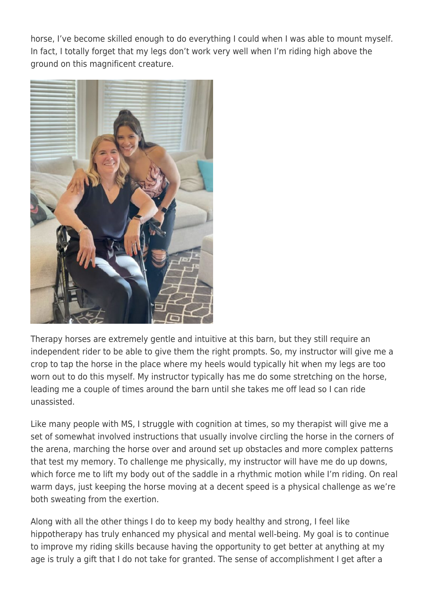horse, I've become skilled enough to do everything I could when I was able to mount myself. In fact, I totally forget that my legs don't work very well when I'm riding high above the ground on this magnificent creature.



Therapy horses are extremely gentle and intuitive at this barn, but they still require an independent rider to be able to give them the right prompts. So, my instructor will give me a crop to tap the horse in the place where my heels would typically hit when my legs are too worn out to do this myself. My instructor typically has me do some stretching on the horse, leading me a couple of times around the barn until she takes me off lead so I can ride unassisted.

Like many people with MS, I struggle with cognition at times, so my therapist will give me a set of somewhat involved instructions that usually involve circling the horse in the corners of the arena, marching the horse over and around set up obstacles and more complex patterns that test my memory. To challenge me physically, my instructor will have me do up downs, which force me to lift my body out of the saddle in a rhythmic motion while I'm riding. On real warm days, just keeping the horse moving at a decent speed is a physical challenge as we're both sweating from the exertion.

Along with all the other things I do to keep my body healthy and strong, I feel like hippotherapy has truly enhanced my physical and mental well-being. My goal is to continue to improve my riding skills because having the opportunity to get better at anything at my age is truly a gift that I do not take for granted. The sense of accomplishment I get after a